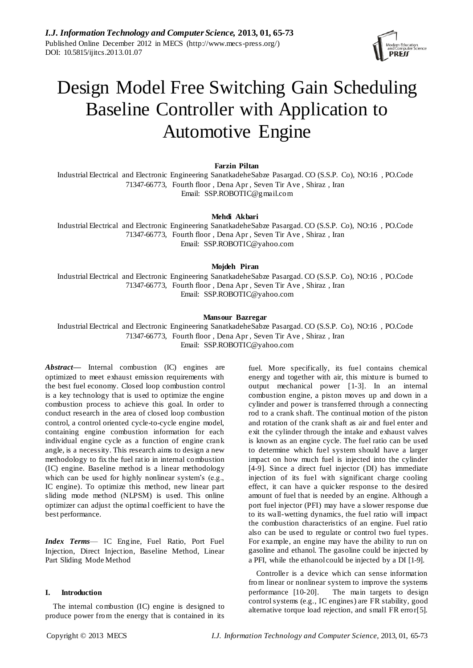

# Design Model Free Switching Gain Scheduling Baseline Controller with Application to Automotive Engine

**Farzin Piltan**

Industrial Electrical and Electronic Engineering SanatkadeheSabze Pasargad. CO (S.S.P. Co), NO:16 , PO.Code 71347-66773, Fourth floor , Dena Apr , Seven Tir Ave , Shiraz , Iran Email: SSP.ROBOTIC@gmail.com

**Mehdi Akbari**

Industrial Electrical and Electronic Engineering SanatkadeheSabze Pasargad. CO (S.S.P. Co), NO:16 , PO.Code 71347-66773, Fourth floor , Dena Apr , Seven Tir Ave , Shiraz , Iran Email: SSP.ROBOTIC@yahoo.com

**Mojdeh Piran**

Industrial Electrical and Electronic Engineering SanatkadeheSabze Pasargad. CO (S.S.P. Co), NO:16 , PO.Code 71347-66773, Fourth floor , Dena Apr , Seven Tir Ave , Shiraz , Iran Email: [SSP.ROBOTIC@yahoo.com](mailto:SSP.ROBOTIC@yahoo.com)

## **Mansour Bazregar**

Industrial Electrical and Electronic Engineering SanatkadeheSabze Pasargad. CO (S.S.P. Co), NO:16 , PO.Code 71347-66773, Fourth floor , Dena Apr , Seven Tir Ave , Shiraz , Iran Email: [SSP.ROBOTIC@yahoo.com](mailto:SSP.ROBOTIC@yahoo.com)

*Abstract—* Internal combustion (IC) engines are optimized to meet exhaust emission requirements with the best fuel economy. Closed loop combustion control is a key technology that is used to optimize the engine combustion process to achieve this goal. In order to conduct research in the area of closed loop combustion control, a control oriented cycle-to-cycle engine model, containing engine combustion information for each individual engine cycle as a function of engine crank angle, is a necessity. This research aims to design a new methodology to fix the fuel ratio in internal combustion (IC) engine. Baseline method is a linear methodology which can be used for highly nonlinear system's (e.g., IC engine). To optimize this method, new linear part sliding mode method (NLPSM) is used. This online optimizer can adjust the optimal coefficient to have the best performance.

*Index Terms*— IC Engine, Fuel Ratio, Port Fuel Injection, Direct Injection, Baseline Method, Linear Part Sliding Mode Method

## **I. Introduction**

The internal combustion (IC) engine is designed to produce power from the energy that is contained in its

fuel. More specifically, its fuel contains chemical energy and together with air, this mixture is burned to output mechanical power [1-3]. In an internal combustion engine, a piston moves up and down in a cylinder and power is transferred through a connecting rod to a crank shaft. The continual motion of the piston and rotation of the crank shaft as air and fuel enter and exit the cylinder through the intake and exhaust valves is known as an engine cycle. The fuel ratio can be used to determine which fuel system should have a larger impact on how much fuel is injected into the cylinder [4-9]. Since a direct fuel injector (DI) has immediate injection of its fuel with significant charge cooling effect, it can have a quicker response to the desired amount of fuel that is needed by an engine. Although a port fuel injector (PFI) may have a slower response due to its wall-wetting dynamics, the fuel ratio will impact the combustion characteristics of an engine. Fuel ratio also can be used to regulate or control two fuel types. For example, an engine may have the ability to run on gasoline and ethanol. The gasoline could be injected by a PFI, while the ethanol could be injected by a DI [1-9].

Controller is a device which can sense information from linear or nonlinear system to improve the systems performance [10-20]. The main targets to design control systems (e.g., IC engines) are FR stability, good alternative torque load rejection, and small FR error[5].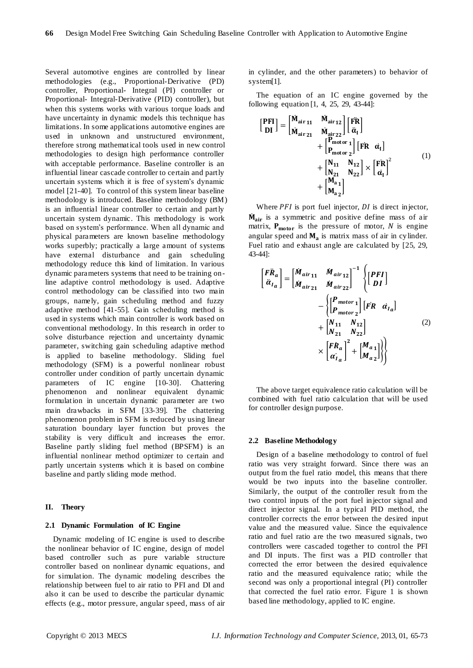Several automotive engines are controlled by linear methodologies (e.g., Proportional-Derivative (PD) controller, Proportional- Integral (PI) controller or Proportional- Integral-Derivative (PID) controller), but when this systems works with various torque loads and have uncertainty in dynamic models this technique has limitations. In some applications automotive engines are used in unknown and unstructured environment, therefore strong mathematical tools used in new control methodologies to design high performance controller with acceptable performance. Baseline controller is an influential linear cascade controller to certain and partly uncertain systems which it is free of system's dynamic model [21-40]. To control of this system linear baseline methodology is introduced. Baseline methodology (BM) is an influential linear controller to certain and partly uncertain system dynamic. This methodology is work based on system's performance. When all dynamic and physical parameters are known baseline methodology works superbly; practically a large amount of systems have external disturbance and gain scheduling methodology reduce this kind of limitation. In various dynamic parameters systems that need to be training online adaptive control methodology is used. Adaptive control methodology can be classified into two main groups, namely, gain scheduling method and fuzzy adaptive method [41-55]. Gain scheduling method is used in systems which main controller is work based on conventional methodology. In this research in order to solve disturbance rejection and uncertainty dynamic parameter, switching gain scheduling adaptive method is applied to baseline methodology. Sliding fuel methodology (SFM) is a powerful nonlinear robust controller under condition of partly uncertain dynamic parameters of IC engine [10-30]. Chattering phenomenon and nonlinear equivalent dynamic formulation in uncertain dynamic parameter are two main drawbacks in SFM [33-39]. The chattering phenomenon problem in SFM is reduced by using linear saturation boundary layer function but proves the stability is very difficult and increases the error. Baseline partly sliding fuel method (BPSFM) is an influential nonlinear method optimizer to certain and partly uncertain systems which it is based on combine baseline and partly sliding mode method.

#### **II. Theory**

## **2.1 Dynamic Formulation of IC Engine**

Dynamic modeling of IC engine is used to describe the nonlinear behavior of IC engine, design of model based controller such as pure variable structure controller based on nonlinear dynamic equations, and for simulation. The dynamic modeling describes the relationship between fuel to air ratio to PFI and DI and also it can be used to describe the particular dynamic effects (e.g., motor pressure, angular speed, mass of air in cylinder, and the other parameters) to behavior of system[1].

The equation of an IC engine governed by the following equation [1, 4, 25, 29, 43-44]:

$$
\begin{aligned}\n\begin{bmatrix}\n\mathbf{PFI} \\
\mathbf{D}I\n\end{bmatrix} &= \begin{bmatrix}\n\mathbf{\dot{M}}_{\text{air 11}} & \mathbf{\dot{M}}_{\text{air 12}} \\
\mathbf{\dot{M}}_{\text{air 21}} & \mathbf{\dot{M}}_{\text{air 22}}\n\end{bmatrix} \begin{bmatrix}\n\mathbf{FR} \\
\mathbf{\dot{\alpha}}_{I}\n\end{bmatrix} \\
&+ \begin{bmatrix}\n\mathbf{P}_{\text{motor 1}} \\
\mathbf{P}_{\text{motor 2}}\n\end{bmatrix} \begin{bmatrix}\n\mathbf{FR} & \mathbf{\dot{\alpha}}_{I}\n\end{bmatrix} \\
&+ \begin{bmatrix}\n\mathbf{N}_{11} & \mathbf{N}_{12} \\
\mathbf{N}_{21} & \mathbf{N}_{22}\n\end{bmatrix} \times \begin{bmatrix}\n\mathbf{FR} \\
\mathbf{\dot{\alpha}}_{I}\n\end{bmatrix}^{2} \\
&+ \begin{bmatrix}\n\mathbf{M}_{a1} \\
\mathbf{M}_{a2}\n\end{bmatrix}\n\end{aligned}
$$
\n(1)

Where  $PFI$  is port fuel injector,  $DI$  is direct injector, M<sub>air</sub> is a symmetric and positive define mass of air matrix,  $P_{\text{motor}}$  is the pressure of motor, N is engine angular speed and  $M_a$  is matrix mass of air in cylinder. Fuel ratio and exhaust angle are calculated by [25, 29, 43-44]:

$$
\begin{aligned}\n\begin{bmatrix}\nF\ddot{R}_a \\
\ddot{\alpha}_{Ia}\n\end{bmatrix} &= \begin{bmatrix}\n\dot{M}_{air\ 11} & \dot{M}_{air\ 12} \\
\dot{M}_{air\ 21} & \dot{M}_{air\ 22}\n\end{bmatrix}^{-1} \begin{Bmatrix}\n\begin{bmatrix}\nPFI \\
DI\n\end{bmatrix} \\
& - \begin{bmatrix}\nP_{motor\ 1} \\
P_{motor\ 2}\n\end{bmatrix}\n\begin{bmatrix}\nFR & \alpha_{Ia}\n\end{bmatrix} \\
& + \begin{bmatrix}\nN_{11} & N_{12} \\
N_{21} & N_{22}\n\end{bmatrix} \\
& \times \begin{bmatrix}\nFR_a \\
\alpha_{Ia}\n\end{bmatrix}^2 + \begin{bmatrix}\nM_{a1} \\
M_{a2}\n\end{bmatrix}\n\end{aligned}
$$
\n(2)

The above target equivalence ratio calculation will be combined with fuel ratio calculation that will be used for controller design purpose.

#### **2.2 Baseline Methodology**

Design of a baseline methodology to control of fuel ratio was very straight forward. Since there was an output from the fuel ratio model, this means that there would be two inputs into the baseline controller. Similarly, the output of the controller result from the two control inputs of the port fuel injector signal and direct injector signal. In a typical PID method, the controller corrects the error between the desired input value and the measured value. Since the equivalence ratio and fuel ratio are the two measured signals, two controllers were cascaded together to control the PFI and DI inputs. The first was a PID controller that corrected the error between the desired equivalence ratio and the measured equivalence ratio; while the second was only a proportional integral (PI) controller that corrected the fuel ratio error. Figure 1 is shown based line methodology, applied to IC engine.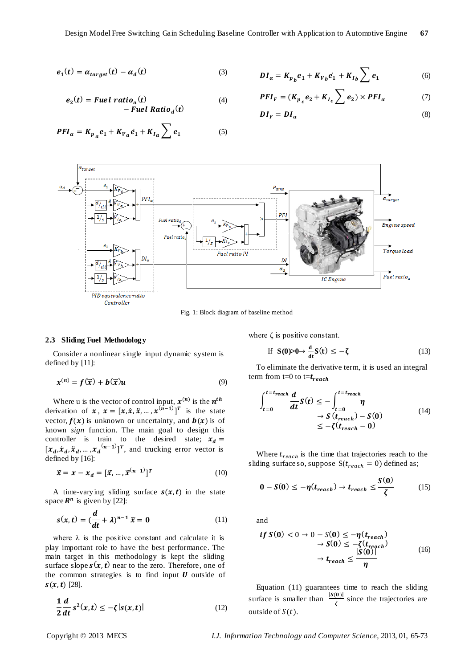$$
e_1(t) = \alpha_{target}(t) - \alpha_d(t) \tag{3}
$$

$$
e_2(t) = \text{Fuel ratio}_a(t)
$$
  
- \text{Fuel Ratio}\_d(t) \t(4)

$$
DI_a = K_{p_b}e_1 + K_{V_b}e_1 + K_{I_b} \sum e_1 \tag{6}
$$

$$
PFI_F = (K_{p_c}e_2 + K_{I_c} \sum e_2) \times PFI_{\alpha}
$$
 (7)

$$
DI_F = DI_{\alpha} \tag{8}
$$

$$
PFI_a = K_{p_a}e_1 + K_{V_a}e_1 + K_{I_a} \sum e_1 \tag{5}
$$



Fig. 1: Block diagram of baseline method

### **2.3 Sliding Fuel Methodology**

Consider a nonlinear single input dynamic system is defined by [11]:

$$
\mathbf{x}^{(n)} = \mathbf{f}(\vec{\mathbf{x}}) + \mathbf{b}(\vec{\mathbf{x}})\mathbf{u} \tag{9}
$$

Where u is the vector of control input,  $x^{(n)}$  is the  $n^t$ derivation of  $x, x = [x, \dot{x}, \ddot{x}, \dots, x^{(\hat{n}-1)}]^T$  is the state vector,  $f(x)$  is unknown or uncertainty, and  $b(x)$  is of known *sign* function. The main goal to design this controller is train to the desired state;  $x_d =$  $[x_d, \dot{x}_d, \ddot{x}_d, ..., x_d^{(n-1)}]^T$ , and trucking error vector is defined by [16]:

$$
\widetilde{\mathbf{x}} = \mathbf{x} - \mathbf{x}_d = [\widetilde{\mathbf{x}}, \dots, \widetilde{\mathbf{x}}^{(n-1)}]^T
$$
\n(10)

A time-varying sliding surface  $s(x, t)$  in the state space  $\mathbb{R}^n$  is given by [22]:

$$
s(x,t) = \left(\frac{d}{dt} + \lambda\right)^{n-1} \tilde{x} = 0 \tag{11}
$$

where  $\lambda$  is the positive constant and calculate it is play important role to have the best performance. The main target in this methodology is kept the sliding surface slope  $s(x, t)$  near to the zero. Therefore, one of the common strategies is to find input  $U$  outside of  $s(x, t)$  [28].

$$
\frac{1}{2}\frac{d}{dt}s^2(x,t) \le -\zeta|s(x,t)|\tag{12}
$$

where  $\zeta$  is positive constant.

If 
$$
S(0) > 0 \rightarrow \frac{d}{dt} S(t) \le -\zeta
$$
 (13)

To eliminate the derivative term, it is used an integral term from t=0 to t= $t_{reach}$ 

$$
\int_{t=0}^{t=t_{reach}} \frac{d}{dt} S(t) \le -\int_{t=0}^{t=t_{reach}} \eta
$$
\n
$$
\to S(t_{reach}) - S(0)
$$
\n
$$
\le -\zeta(t_{reach} - 0)
$$
\n(14)

Where  $t_{reach}$  is the time that trajectories reach to the sliding surface so, suppose  $S(t_{reach} = 0)$  defined as;

$$
0 - S(0) \le -\eta(t_{reach}) \to t_{reach} \le \frac{S(0)}{\zeta}
$$
 (15)

and

$$
\begin{aligned} \text{if } S(0) < 0 \to 0 - S(0) \le -\eta(t_{reach}) \\ &\to S(0) \le -\zeta(t_{reach}) \\ &\to t_{reach} \le \frac{|S(0)|}{\eta} \end{aligned} \tag{16}
$$

Equation (11) guarantees time to reach the sliding surface is smaller than  $\frac{|S(0)|}{\tau}$  $rac{\sigma_{\text{J}}}{\zeta}$  since the trajectories are outside of  $S(t)$ .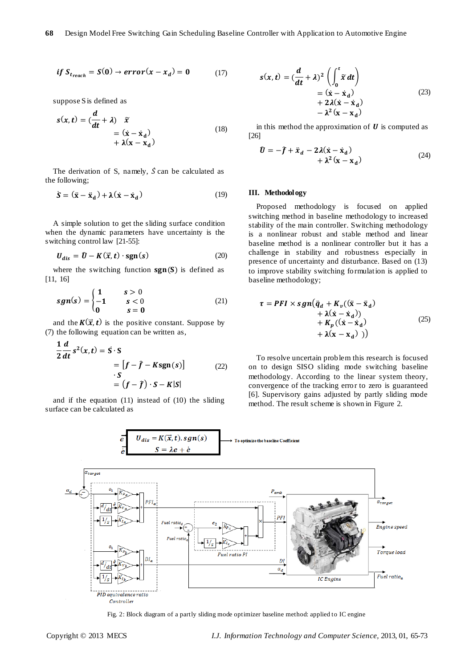$$
if S_{t_{reach}} = S(0) \rightarrow error(x - x_d) = 0 \tag{17}
$$

suppose S is defined as

$$
s(x,t) = \left(\frac{d}{dt} + \lambda\right) \tilde{x}
$$
  
=  $(\dot{x} - \dot{x}_d)$   
+  $\lambda(x - x_d)$  (18)

The derivation of S, namely,  $\dot{S}$  can be calculated as the following;

$$
\dot{\mathbf{S}} = (\ddot{\mathbf{x}} - \ddot{\mathbf{x}}_{\mathbf{d}}) + \lambda(\dot{\mathbf{x}} - \dot{\mathbf{x}}_{\mathbf{d}})
$$
(19)

A simple solution to get the sliding surface condition when the dynamic parameters have uncertainty is the switching control law [21-55]:

$$
U_{dis} = \hat{U} - K(\vec{x}, t) \cdot \text{sgn}(s) \tag{20}
$$

where the switching function  $sgn(S)$  is defined as [11, 16]

$$
sgn(s) = \begin{cases} 1 & s > 0 \\ -1 & s < 0 \\ 0 & s = 0 \end{cases}
$$
 (21)

and the  $K(\vec{x}, t)$  is the positive constant. Suppose by (7) the following equation can be written as,

$$
\frac{1}{2}\frac{d}{dt}s^{2}(x,t) = S \cdot S
$$
  
=  $[f - \hat{f} - Ksgn(s)]$  (22)  

$$
\cdot S
$$
  
=  $(f - \hat{f}) \cdot S - K|S|$ 

and if the equation (11) instead of (10) the sliding surface can be calculated as

$$
s(x,t) = \left(\frac{d}{dt} + \lambda\right)^2 \left(\int_0^t \tilde{x} dt\right)
$$
  
=  $(\dot{x} - \dot{x}_d)$   
+  $2\lambda(\dot{x} - \dot{x}_d)$   
-  $\lambda^2(x - x_d)$  (23)

in this method the approximation of  $U$  is computed as [26]

$$
\hat{\mathbf{U}} = -\hat{\mathbf{f}} + \ddot{\mathbf{x}}_d - 2\lambda(\dot{\mathbf{x}} - \dot{\mathbf{x}}_d) + \lambda^2(\mathbf{x} - \mathbf{x}_d)
$$
\n(24)

## **III. Methodology**

Proposed methodology is focused on applied switching method in baseline methodology to increased stability of the main controller. Switching methodology is a nonlinear robust and stable method and linear baseline method is a nonlinear controller but it has a challenge in stability and robustness especially in presence of uncertainty and disturbance. Based on (13) to improve stability switching formulation is applied to baseline methodology;

$$
\tau = PFI \times sgn(\ddot{q}_d + K_v((\ddot{x} - \ddot{x}_d) + \lambda(\dot{x} - \dot{x}_d)) + K_p((\dot{x} - \dot{x}_d) + \lambda(x - x_d))
$$
 (25)

To resolve uncertain problem this research is focused on to design SISO sliding mode switching baseline methodology. According to the linear system theory, convergence of the tracking error to zero is guaranteed [6]. Supervisory gains adjusted by partly sliding mode method. The result scheme is shown in Figure 2.



Fig. 2: Block diagram of a partly sliding mode optimizer baseline method: applied to IC engine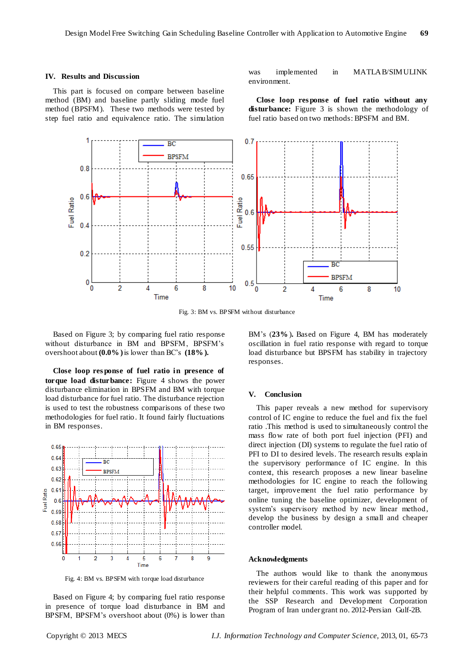#### **IV. Results and Discussion**

This part is focused on compare between baseline method (BM) and baseline partly sliding mode fuel method (BPSFM).These two methods were tested by step fuel ratio and equivalence ratio. The simulation

was implemented in MATLAB/SIMULINK environment.

**Close loop res ponse of fuel ratio without any disturbance:** Figure 3 is shown the methodology of fuel ratio based on two methods: BPSFM and BM.



Fig. 3: BM vs. BPSFM without disturbance

Based on Figure 3; by comparing fuel ratio response without disturbance in BM and BPSFM, BPSFM's overshoot about **(0.0% )**is lower than BC's **(18% ).**

**Close loop res ponse of fuel ratio in presence of torque load disturbance:** Figure 4 shows the power disturbance elimination in BPSFM and BM with torque load disturbance for fuel ratio. The disturbance rejection is used to test the robustness comparisons of these two methodologies for fuel ratio. It found fairly fluctuations in BM responses.



Fig. 4: BM vs. BPSFM with torque load disturbance

Based on Figure 4; by comparing fuel ratio response in presence of torque load disturbance in BM and BPSFM, BPSFM's overshoot about (0%) is lower than

BM's (**23%**)**.** Based on Figure 4, BM has moderately oscillation in fuel ratio response with regard to torque load disturbance but BPSFM has stability in trajectory responses.

#### **V. Conclusion**

This paper reveals a new method for supervisory control of IC engine to reduce the fuel and fix the fuel ratio .This method is used to simultaneously control the mass flow rate of both port fuel injection (PFI) and direct injection (DI) systems to regulate the fuel ratio of PFI to DI to desired levels. The research results explain the supervisory performance of IC engine. In this context, this research proposes a new linear baseline methodologies for IC engine to reach the following target, improvement the fuel ratio performance by online tuning the baseline optimizer, development of system's supervisory method by new linear method, develop the business by design a small and cheaper controller model.

#### **Acknowledgments**

The authors would like to thank the anonymous reviewers for their careful reading of this paper and for their helpful comments. This work was supported by the SSP Research and Development Corporation Program of Iran under grant no. 2012-Persian Gulf-2B.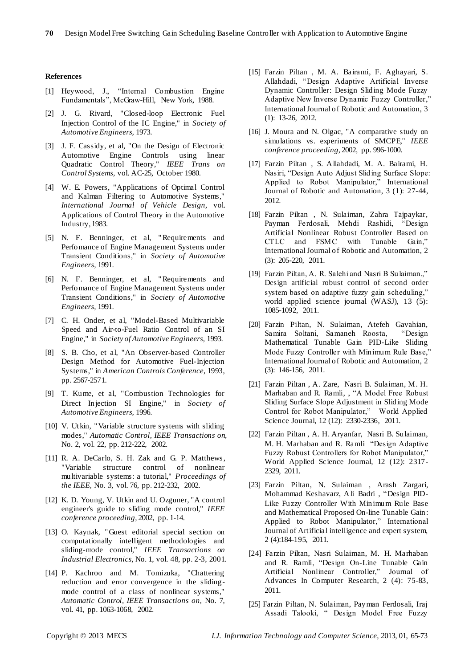## **References**

- [1] Heywood, J., "Internal Combustion Engine Fundamentals", McGraw-Hill, New York, 1988.
- [2] J. G. Rivard, "Closed-loop Electronic Fuel Injection Control of the IC Engine," in *Society of Automotive Engineers,* 1973.
- [3] J. F. Cassidy, et al, "On the Design of Electronic Automotive Engine Controls using linear Quadratic Control Theory," *IEEE Trans on Control Systems,* vol. AC-25, October 1980.
- [4] W. E. Powers, "Applications of Optimal Control and Kalman Filtering to Automotive Systems," *International Journal of Vehicle Design,* vol. Applications of Control Theory in the Automotive Industry, 1983.
- [5] N. F. Benninger, et al, " Requirements and Perfomance of Engine Management Systems under Transient Conditions," in *Society of Automotive Engineers,* 1991.
- [6] N. F. Benninger, et al, " Requirements and Perfomance of Engine Management Systems under Transient Conditions," in *Society of Automotive Engineers,* 1991.
- [7] C. H. Onder, et al, "Model-Based Multivariable Speed and Air-to-Fuel Ratio Control of an SI Engine," in *Society of Automotive Engineers,* 1993.
- [8] S. B. Cho, et al, "An Observer-based Controller Design Method for Automotive Fuel-Injection Systems," in *American Controls Conference,* 1993, pp. 2567-2571.
- [9] T. Kume, et al, "Combustion Technologies for Direct Injection SI Engine," in *Society of Automotive Engineers,* 1996.
- [10] V. Utkin, " Variable structure systems with sliding modes," *Automatic Control, IEEE Transactions on,* No. 2, vol. 22, pp. 212-222, 2002.
- [11] R. A. DeCarlo, S. H. Zak and G. P. Matthews, "Variable structure control of nonlinear multivariable systems: a tutorial," *Proceedings of the IEEE,* No. 3, vol. 76, pp. 212-232, 2002.
- [12] K. D. Young, V. Utkin and U. Ozguner, "A control engineer's guide to sliding mode control," *IEEE conference proceeding,* 2002, pp. 1-14.
- [13] O. Kaynak, "Guest editorial special section on computationally intelligent methodologies and sliding-mode control," *IEEE Transactions on Industrial Electronics,* No. 1, vol. 48, pp. 2-3, 2001.
- [14] P. Kachroo and M. Tomizuka, "Chattering reduction and error convergence in the slidingmode control of a class of nonlinear systems," *Automatic Control, IEEE Transactions on,* No. 7, vol. 41, pp. 1063-1068, 2002.
- [15] Farzin Piltan , M. A. Bairami, F. Aghayari, S. Allahdadi, "Design Adaptive Artificial Inverse Dynamic Controller: Design Sliding Mode Fuzzy Adaptive New Inverse Dynamic Fuzzy Controller," International Journal of Robotic and Automation, 3 (1): 13-26, 2012.
- [16] J. Moura and N. Olgac, "A comparative study on simulations vs. experiments of SMCPE," *IEEE conference proceeding,* 2002, pp. 996-1000.
- [17] Farzin Piltan , S. Allahdadi, M. A. Bairami, H. Nasiri, "Design Auto Adjust Sliding Surface Slope: Applied to Robot Manipulator," International Journal of Robotic and Automation, 3 (1): 27-44, 2012.
- [18] Farzin Piltan , N. Sulaiman, Zahra Tajpaykar, Payman Ferdosali, Mehdi Rashidi, "Design Artificial Nonlinear Robust Controller Based on CTLC and FSMC with Tunable Gain," International Journal of Robotic and Automation, 2 (3): 205-220, 2011.
- [19] Farzin Piltan, A. R. Salehi and Nasri B Sulaiman.," Design artificial robust control of second order system based on adaptive fuzzy gain scheduling," world applied science journal (WASJ), 13 (5): 1085-1092, 2011.
- [20] Farzin Piltan, N. Sulaiman, Atefeh Gavahian, Samira Soltani, Samaneh Roosta, Mathematical Tunable Gain PID-Like Sliding Mode Fuzzy Controller with Minimum Rule Base," International Journal of Robotic and Automation, 2 (3): 146-156, 2011.
- [21] Farzin Piltan , A. Zare, Nasri B. Sulaiman, M. H. Marhaban and R. Ramli, , "A Model Free Robust Sliding Surface Slope Adjustment in Sliding Mode Control for Robot Manipulator," World Applied Science Journal, 12 (12): 2330-2336, 2011.
- [22] Farzin Piltan , A. H. Aryanfar, Nasri B. Sulaiman, M. H. Marhaban and R. Ramli "Design Adaptive Fuzzy Robust Controllers for Robot Manipulator," World Applied Science Journal, 12 (12): 2317- 2329, 2011.
- [23] Farzin Piltan, N. Sulaiman , Arash Zargari, Mohammad Keshavarz, Ali Badri , "Design PID-Like Fuzzy Controller With Minimum Rule Base and Mathematical Proposed On-line Tunable Gain: Applied to Robot Manipulator," International Journal of Artificial intelligence and expert system, 2 (4):184-195, 2011.
- [24] Farzin Piltan, Nasri Sulaiman, M. H. Marhaban and R. Ramli, "Design On-Line Tunable Gain Artificial Nonlinear Controller," Journal of Advances In Computer Research, 2 (4): 75-83, 2011.
- [25] Farzin Piltan, N. Sulaiman, Payman Ferdosali, Iraj Assadi Talooki, " Design Model Free Fuzzy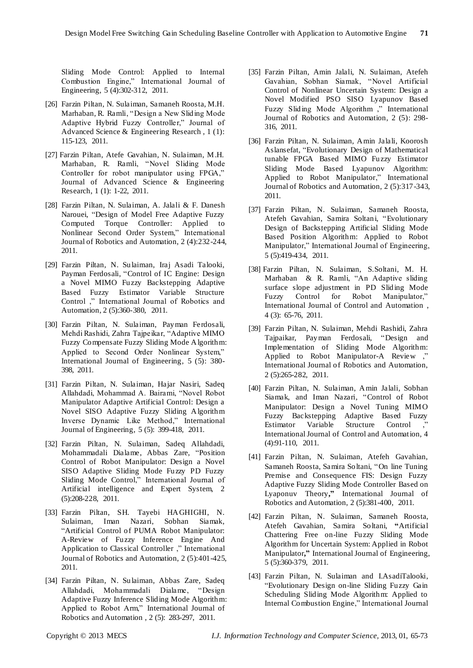Sliding Mode Control: Applied to Internal Combustion Engine," International Journal of Engineering, 5 (4):302-312, 2011.

- [26] Farzin Piltan, N. Sulaiman, Samaneh Roosta, M.H. Marhaban, R. Ramli, "Design a New Sliding Mode Adaptive Hybrid Fuzzy Controller," Journal of Advanced Science & Engineering Research , 1 (1): 115-123, 2011.
- [27] Farzin Piltan, Atefe Gavahian, N. Sulaiman, M.H. Marhaban, R. Ramli, "Novel Sliding Mode Controller for robot manipulator using FPGA," Journal of Advanced Science & Engineering Research, 1 (1): 1-22, 2011.
- [28] Farzin Piltan, N. Sulaiman, A. Jalali & F. Danesh Narouei, "Design of Model Free Adaptive Fuzzy Computed Torque Controller: Applied to Nonlinear Second Order System," International Journal of Robotics and Automation, 2 (4):232-244, 2011.
- [29] Farzin Piltan, N. Sulaiman, Iraj Asadi Talooki, Payman Ferdosali, "Control of IC Engine: Design a Novel MIMO Fuzzy Backstepping Adaptive Based Fuzzy Estimator Variable Structure Control ," International Journal of Robotics and Automation, 2 (5):360-380, 2011.
- [30] Farzin Piltan, N. Sulaiman, Payman Ferdosali, Mehdi Rashidi, Zahra Tajpeikar, "Adaptive MIMO Fuzzy Compensate Fuzzy Sliding Mode Algorithm: Applied to Second Order Nonlinear System," International Journal of Engineering, 5 (5): 380- 398, 2011.
- [31] Farzin Piltan, N. Sulaiman, Hajar Nasiri, Sadeq Allahdadi, Mohammad A. Bairami, "Novel Robot Manipulator Adaptive Artificial Control: Design a Novel SISO Adaptive Fuzzy Sliding Algorithm Inverse Dynamic Like Method," International Journal of Engineering, 5 (5): 399-418, 2011.
- [32] Farzin Piltan, N. Sulaiman, Sadeq Allahdadi, Mohammadali Dialame, Abbas Zare, "Position Control of Robot Manipulator: Design a Novel SISO Adaptive Sliding Mode Fuzzy PD Fuzzy Sliding Mode Control," International Journal of Artificial intelligence and Expert System, 2 (5):208-228, 2011.
- [33] Farzin Piltan, SH. Tayebi HAGHIGHI, N. Sulaiman, Iman Nazari, Sobhan Siamak, "Artificial Control of PUMA Robot Manipulator: A-Review of Fuzzy Inference Engine And Application to Classical Controller ," International Journal of Robotics and Automation, 2 (5):401-425, 2011.
- [34] Farzin Piltan, N. Sulaiman, Abbas Zare, Sadeq Allahdadi, Mohammadali Dialame, "Design Adaptive Fuzzy Inference Sliding Mode Algorithm: Applied to Robot Arm," International Journal of Robotics and Automation , 2 (5): 283-297, 2011.
- [35] Farzin Piltan, Amin Jalali, N. Sulaiman, Atefeh Gavahian, Sobhan Siamak, "Novel Artificial Control of Nonlinear Uncertain System: Design a Novel Modified PSO SISO Lyapunov Based Fuzzy Sliding Mode Algorithm ," International Journal of Robotics and Automation, 2 (5): 298- 316, 2011.
- [36] Farzin Piltan, N. Sulaiman, Amin Jalali, Koorosh Aslansefat, "Evolutionary Design of Mathematical tunable FPGA Based MIMO Fuzzy Estimator Sliding Mode Based Lyapunov Algorithm: Applied to Robot Manipulator," International Journal of Robotics and Automation, 2 (5):317-343, 2011.
- [37] Farzin Piltan, N. Sulaiman, Samaneh Roosta, Atefeh Gavahian, Samira Soltani, "Evolutionary Design of Backstepping Artificial Sliding Mode Based Position Algorithm: Applied to Robot Manipulator," International Journal of Engineering, 5 (5):419-434, 2011.
- [38] Farzin Piltan, N. Sulaiman, S.Soltani, M. H. Marhaban & R. Ramli, "An Adaptive sliding surface slope adjustment in PD Sliding Mode Fuzzy Control for Robot Manipulator," International Journal of Control and Automation , 4 (3): 65-76, 2011.
- [39] Farzin Piltan, N. Sulaiman, Mehdi Rashidi, Zahra Tajpaikar, Payman Ferdosali, "Design and Implementation of Sliding Mode Algorithm: Applied to Robot Manipulator-A Review ," International Journal of Robotics and Automation, 2 (5):265-282, 2011.
- [40] Farzin Piltan, N. Sulaiman, Amin Jalali, Sobhan Siamak, and Iman Nazari, "Control of Robot Manipulator: Design a Novel Tuning MIMO Fuzzy Backstepping Adaptive Based Fuzzy Estimator Variable Structure Control , International Journal of Control and Automation, 4 (4):91-110, 2011.
- [41] Farzin Piltan, N. Sulaiman, Atefeh Gavahian, Samaneh Roosta, Samira Soltani, ["On line Tuning](http://www.cscjournals.org/csc/manuscriptinfo.php?ManuscriptCode=67.68.76.59.39.47.49.104&JCode=IJRA&EJCode=66.67.75.58.105&Volume=2&Issue=5)  [Premise and Consequence FIS: Design Fuzzy](http://www.cscjournals.org/csc/manuscriptinfo.php?ManuscriptCode=67.68.76.59.39.47.49.104&JCode=IJRA&EJCode=66.67.75.58.105&Volume=2&Issue=5)  [Adaptive Fuzzy Sliding Mode Controller Based on](http://www.cscjournals.org/csc/manuscriptinfo.php?ManuscriptCode=67.68.76.59.39.47.49.104&JCode=IJRA&EJCode=66.67.75.58.105&Volume=2&Issue=5)  [Lyaponuv Theory](http://www.cscjournals.org/csc/manuscriptinfo.php?ManuscriptCode=67.68.76.59.39.47.49.104&JCode=IJRA&EJCode=66.67.75.58.105&Volume=2&Issue=5)**,"** International Journal of Robotics and Automation, 2 (5):381-400, 2011.
- [42] Farzin Piltan, N. Sulaiman, Samaneh Roosta, Atefeh Gavahian, Samira Soltani, **"**[Artificial](http://www.cscjournals.org/csc/manuscriptinfo.php?ManuscriptCode=68.69.64.40.46.44.44.103&JCode=IJE&EJCode=70.71.66.101&Volume=5&Issue=5)  [Chattering Free on-line Fuzzy Sliding Mode](http://www.cscjournals.org/csc/manuscriptinfo.php?ManuscriptCode=68.69.64.40.46.44.44.103&JCode=IJE&EJCode=70.71.66.101&Volume=5&Issue=5)  [Algorithm for Uncertain System: Applied in Robot](http://www.cscjournals.org/csc/manuscriptinfo.php?ManuscriptCode=68.69.64.40.46.44.44.103&JCode=IJE&EJCode=70.71.66.101&Volume=5&Issue=5)  [Manipulator](http://www.cscjournals.org/csc/manuscriptinfo.php?ManuscriptCode=68.69.64.40.46.44.44.103&JCode=IJE&EJCode=70.71.66.101&Volume=5&Issue=5)**,"** International Journal of Engineering, 5 (5):360-379, 2011.
- [43] Farzin Piltan, N. Sulaiman and I.AsadiTalooki, "Evolutionary Design on-line Sliding Fuzzy Gain Scheduling Sliding Mode Algorithm: Applied to Internal Combustion Engine," International Journal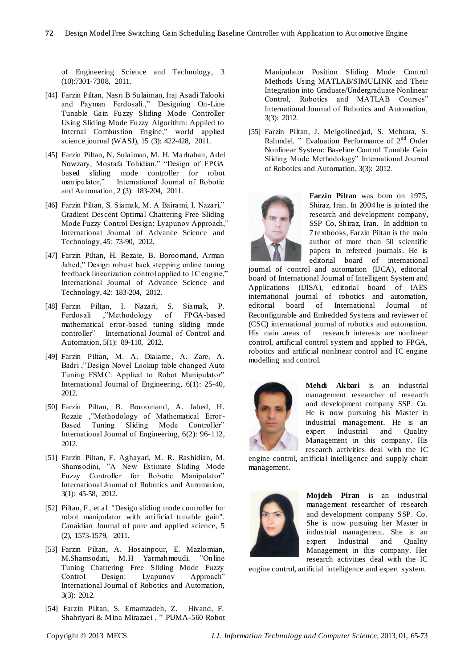of Engineering Science and Technology, 3 (10):7301-7308, 2011.

- [44] Farzin Piltan, Nasri B Sulaiman, Iraj Asadi Talooki and Payman Ferdosali.," Designing On-Line Tunable Gain Fuzzy Sliding Mode Controller Using Sliding Mode Fuzzy Algorithm: Applied to Internal Combustion Engine," world applied science journal (WASJ), 15 (3): 422-428, 2011.
- [45] Farzin Piltan, N. Sulaiman, M. H. Marhaban, Adel Nowzary, Mostafa Tohidian," "Design of FPGA based sliding mode controller for robot manipulator," International Journal of Robotic and Automation, 2 (3): 183-204, 2011.
- [46] Farzin Piltan, S. Siamak, M. A Bairami, I. Nazari," Gradient Descent Optimal Chattering Free Sliding Mode Fuzzy Control Design: Lyapunov Approach,' International Journal of Advance Science and Technology, 45: 73-90, 2012.
- [47] Farzin Piltan, H. Rezaie, B. Boroomand, Arman Jahed," Design robust back stepping online tuning feedback linearization control applied to IC engine," International Journal of Advance Science and Technology, 42: 183-204, 2012.
- [48] Farzin Piltan, I. Nazari, S. Siamak, P. Ferdosali ,"Methodology of mathematical error-based tuning sliding mode controller" International Journal of Control and Automation, 5(1): 89-110, 2012.
- [49] Farzin Piltan, M. A. Dialame, A. Zare, A. Badri ,"Design Novel Lookup table changed Auto Tuning FSMC: Applied to Robot Manipulator" International Journal of Engineering, 6(1): 25-40, 2012.
- [50] Farzin Piltan, B. Boroomand, A. Jahed, H. Rezaie ,"Methodology of Mathematical Error-Based Tuning Sliding Mode Controller" International Journal of Engineering, 6(2): 96-112, 2012.
- [51] Farzin Piltan, F. Aghayari, M. R. Rashidian, M. Shamsodini, "A New Estimate Sliding Mode Fuzzy Controller for Robotic Manipulator" International Journal of Robotics and Automation, 3(1): 45-58, 2012.
- [52] Piltan, F., et al. "Design sliding mode controller for robot manipulator with artificial tunable gain". Canaidian Journal of pure and applied science, 5 (2), 1573-1579, 2011.
- [53] Farzin Piltan, A. Hosainpour, E. Mazlomian, M.Shamsodini, M.H Yarmahmoudi. "Online Tuning Chattering Free Sliding Mode Fuzzy Control Design: Lyapunov Approach" International Journal of Robotics and Automation, 3(3): 2012.
- [54] Farzin Piltan, S. Emamzadeh, Z. Hivand, F. Shahriyari & Mina Mirazaei . " PUMA-560 Robot

Manipulator Position Sliding Mode Control Methods Using MATLAB/SIMULINK and Their Integration into Graduate/Undergraduate Nonlinear Control, Robotics and MATLAB Courses" International Journal of Robotics and Automation, 3(3): 2012.

[55] Farzin Piltan, J. Meigolinedjad, S. Mehrara, S. Rahmdel. " Evaluation Performance of 2<sup>nd</sup> Order Nonlinear System: Baseline Control Tunable Gain Sliding Mode Methodology" International Journal of Robotics and Automation, 3(3): 2012.



**Farzin Piltan** was born on 1975, Shiraz, Iran. In 2004 he is jointed the research and development company, SSP Co, Shiraz, Iran. In addition to 7 textbooks, Farzin Piltan is the main author of more than 50 scientific papers in refereed journals. He is editorial board of international

journal of control and automation (IJCA), editorial board of International Journal of Intelligent System and Applications (IJISA), editorial board of IAES international journal of robotics and automation, editorial board of International Journal of Reconfigurable and Embedded Systems and reviewer of (CSC) international journal of robotics and automation. His main areas of research interests are nonlinear control, artificial control system and applied to FPGA, robotics and artificial nonlinear control and IC engine modelling and control.



**Mehdi Ak bari** is an industrial management researcher of research and development company SSP. Co. He is now pursuing his Master in industrial management. He is an expert Industrial and Quality Management in this company. His research activities deal with the IC

engine control, artificial intelligence and supply chain management.



**Mojdeh Piran** is an industrial management researcher of research and development company SSP. Co. She is now pursuing her Master in industrial management. She is an expert Industrial and Quality Management in this company. Her research activities deal with the IC

engine control, artificial intelligence and expert system.